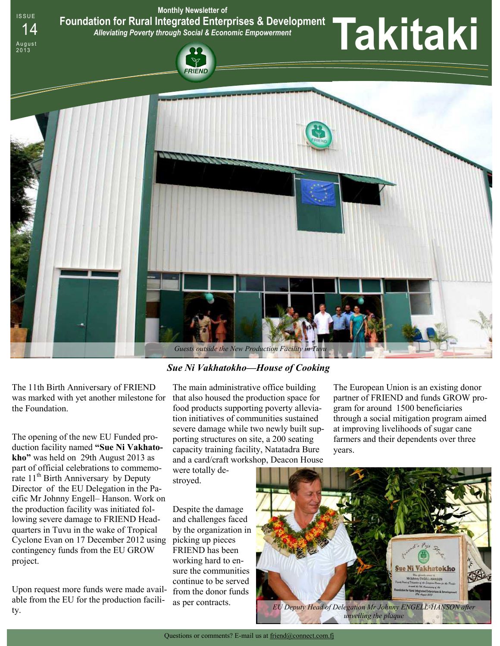**Monthly Newsletter of Foundation for Rural Integrated Enterprises & Development**  *Alleviating Poverty through Social & Economic Empowerment*







The 11th Birth Anniversary of FRIEND was marked with yet another milestone for the Foundation.

**ISSUE** 

August<br>2013

The opening of the new EU Funded production facility named **"Sue Ni Vakhatokho"** was held on 29th August 2013 as part of official celebrations to commemorate  $11<sup>th</sup>$  Birth Anniversary by Deputy Director of the EU Delegation in the Pacific Mr Johnny Engell– Hanson. Work on the production facility was initiated following severe damage to FRIEND Headquarters in Tuvu in the wake of Tropical Cyclone Evan on 17 December 2012 using contingency funds from the EU GROW project.

Upon request more funds were made available from the EU for the production facility.

## *Sue Ni Vakhatokho—House of Cooking*

The main administrative office building that also housed the production space for food products supporting poverty alleviation initiatives of communities sustained severe damage while two newly built supporting structures on site, a 200 seating capacity training facility, Natatadra Bure and a card/craft workshop, Deacon House

were totally destroyed.

Despite the damage and challenges faced by the organization in picking up pieces FRIEND has been working hard to ensure the communities continue to be served from the donor funds as per contracts.

The European Union is an existing donor partner of FRIEND and funds GROW program for around 1500 beneficiaries through a social mitigation program aimed at improving livelihoods of sugar cane farmers and their dependents over three years.

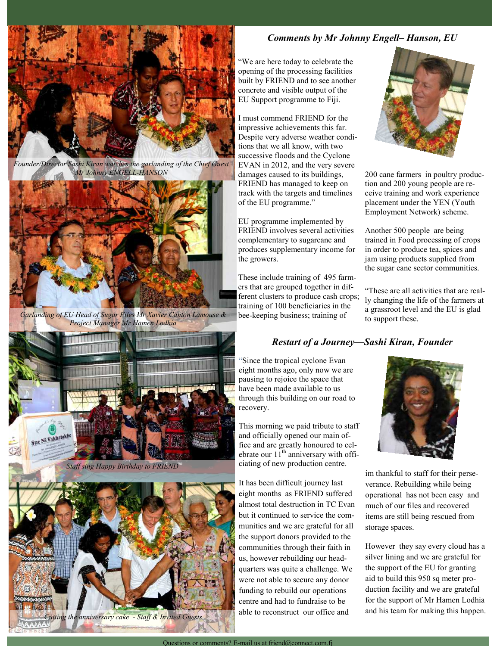

*Founder/Director Sashi Kiran watches the garlanding of the Chief Guest Mr Johnny ENGELL-HANSON*



*Garlanding of EU Head of Sugar Files Mr Xavier Canton Lamouse & Project Manager Mr Hamen Lodhia*



*Staff sing Happy Birthday to FRIEND*



*Comments by Mr Johnny Engell– Hanson, EU* 

"We are here today to celebrate the opening of the processing facilities built by FRIEND and to see another concrete and visible output of the EU Support programme to Fiji.

I must commend FRIEND for the impressive achievements this far. Despite very adverse weather conditions that we all know, with two successive floods and the Cyclone EVAN in 2012, and the very severe damages caused to its buildings, FRIEND has managed to keep on track with the targets and timelines of the EU programme."

EU programme implemented by FRIEND involves several activities complementary to sugarcane and produces supplementary income for the growers.

These include training of 495 farmers that are grouped together in different clusters to produce cash crops; training of 100 beneficiaries in the bee-keeping business; training of



200 cane farmers in poultry production and 200 young people are receive training and work experience placement under the YEN (Youth Employment Network) scheme.

Another 500 people are being trained in Food processing of crops in order to produce tea, spices and jam using products supplied from the sugar cane sector communities.

"These are all activities that are really changing the life of the farmers at a grassroot level and the EU is glad to support these.

# *Restart of a Journey—Sashi Kiran, Founder*

"Since the tropical cyclone Evan eight months ago, only now we are pausing to rejoice the space that have been made available to us through this building on our road to recovery.

This morning we paid tribute to staff and officially opened our main office and are greatly honoured to celebrate our  $11<sup>th</sup>$  anniversary with officiating of new production centre.

It has been difficult journey last eight months as FRIEND suffered almost total destruction in TC Evan but it continued to service the communities and we are grateful for all the support donors provided to the communities through their faith in us, however rebuilding our headquarters was quite a challenge. We were not able to secure any donor funding to rebuild our operations centre and had to fundraise to be able to reconstruct our office and



im thankful to staff for their perseverance. Rebuilding while being operational has not been easy and much of our files and recovered items are still being rescued from storage spaces.

However they say every cloud has a silver lining and we are grateful for the support of the EU for granting aid to build this 950 sq meter production facility and we are grateful for the support of Mr Hamen Lodhia and his team for making this happen.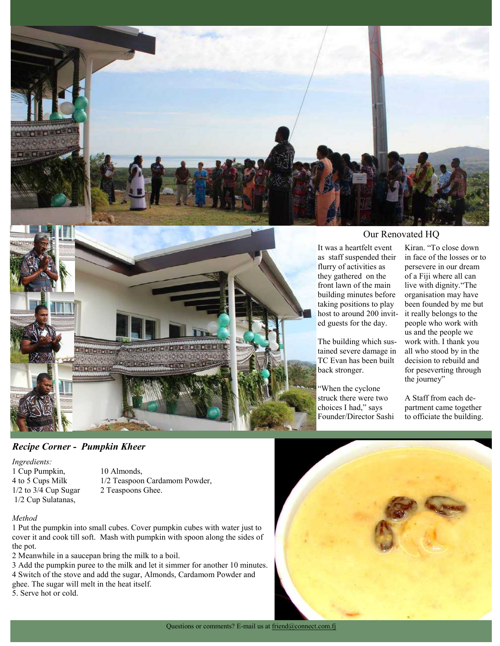



## Our Renovated HQ

It was a heartfelt event as staff suspended their flurry of activities as they gathered on the front lawn of the main building minutes before taking positions to play host to around 200 invited guests for the day.

The building which sustained severe damage in TC Evan has been built back stronger.

"When the cyclone struck there were two choices I had," says Founder/Director Sashi

Kiran. "To close down in face of the losses or to persevere in our dream of a Fiji where all can live with dignity."The organisation may have been founded by me but it really belongs to the people who work with us and the people we work with. I thank you all who stood by in the decision to rebuild and for peseverting through the journey"

A Staff from each department came together to officiate the building.

## *Recipe Corner - Pumpkin Kheer*

*Ingredients:* 1 Cup Pumpkin, 10 Almonds, 1/2 Cup Sulatanas,

4 to 5 Cups Milk 1/2 Teaspoon Cardamom Powder, 1/2 to 3/4 Cup Sugar 2 Teaspoons Ghee.

### *Method*

1 Put the pumpkin into small cubes. Cover pumpkin cubes with water just to cover it and cook till soft. Mash with pumpkin with spoon along the sides of the pot.

2 Meanwhile in a saucepan bring the milk to a boil.

3 Add the pumpkin puree to the milk and let it simmer for another 10 minutes. 4 Switch of the stove and add the sugar, Almonds, Cardamom Powder and ghee. The sugar will melt in the heat itself.

5. Serve hot or cold.